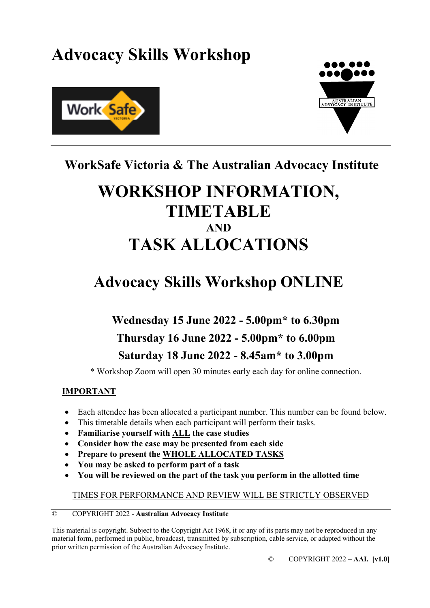# **Advocacy Skills Workshop**





# **WorkSafe Victoria & The Australian Advocacy Institute**

# **WORKSHOP INFORMATION, TIMETABLE AND TASK ALLOCATIONS**

# **Advocacy Skills Workshop ONLINE**

# **Wednesday 15 June 2022 - 5.00pm\* to 6.30pm Thursday 16 June 2022 - 5.00pm\* to 6.00pm Saturday 18 June 2022 - 8.45am\* to 3.00pm**

\* Workshop Zoom will open 30 minutes early each day for online connection.

### **IMPORTANT**

- Each attendee has been allocated a participant number. This number can be found below.
- This timetable details when each participant will perform their tasks.
- **Familiarise yourself with ALL the case studies**
- **Consider how the case may be presented from each side**
- **Prepare to present the WHOLE ALLOCATED TASKS**
- **You may be asked to perform part of a task**
- **You will be reviewed on the part of the task you perform in the allotted time**

### TIMES FOR PERFORMANCE AND REVIEW WILL BE STRICTLY OBSERVED

#### © COPYRIGHT 2022 - **Australian Advocacy Institute**

This material is copyright. Subject to the Copyright Act 1968, it or any of its parts may not be reproduced in any material form, performed in public, broadcast, transmitted by subscription, cable service, or adapted without the prior written permission of the Australian Advocacy Institute.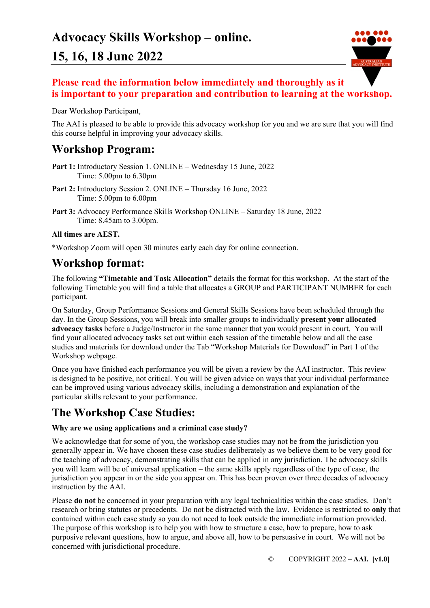

### **Please read the information below immediately and thoroughly as it is important to your preparation and contribution to learning at the workshop.**

Dear Workshop Participant,

The AAI is pleased to be able to provide this advocacy workshop for you and we are sure that you will find this course helpful in improving your advocacy skills.

## **Workshop Program:**

- Part 1: Introductory Session 1. ONLINE Wednesday 15 June, 2022 Time: 5.00pm to 6.30pm
- **Part 2:** Introductory Session 2. ONLINE Thursday 16 June, 2022 Time: 5.00pm to 6.00pm
- **Part 3:** Advocacy Performance Skills Workshop ONLINE Saturday 18 June, 2022 Time: 8.45am to 3.00pm.

### **All times are AEST.**

\*Workshop Zoom will open 30 minutes early each day for online connection.

## **Workshop format:**

The following **"Timetable and Task Allocation"** details the format for this workshop. At the start of the following Timetable you will find a table that allocates a GROUP and PARTICIPANT NUMBER for each participant.

On Saturday, Group Performance Sessions and General Skills Sessions have been scheduled through the day. In the Group Sessions, you will break into smaller groups to individually **present your allocated advocacy tasks** before a Judge/Instructor in the same manner that you would present in court. You will find your allocated advocacy tasks set out within each session of the timetable below and all the case studies and materials for download under the Tab "Workshop Materials for Download" in Part 1 of the Workshop webpage.

Once you have finished each performance you will be given a review by the AAI instructor. This review is designed to be positive, not critical. You will be given advice on ways that your individual performance can be improved using various advocacy skills, including a demonstration and explanation of the particular skills relevant to your performance.

## **The Workshop Case Studies:**

### **Why are we using applications and a criminal case study?**

We acknowledge that for some of you, the workshop case studies may not be from the jurisdiction you generally appear in. We have chosen these case studies deliberately as we believe them to be very good for the teaching of advocacy, demonstrating skills that can be applied in any jurisdiction. The advocacy skills you will learn will be of universal application – the same skills apply regardless of the type of case, the jurisdiction you appear in or the side you appear on. This has been proven over three decades of advocacy instruction by the AAI.

Please **do not** be concerned in your preparation with any legal technicalities within the case studies. Don't research or bring statutes or precedents. Do not be distracted with the law. Evidence is restricted to **only** that contained within each case study so you do not need to look outside the immediate information provided. The purpose of this workshop is to help you with how to structure a case, how to prepare, how to ask purposive relevant questions, how to argue, and above all, how to be persuasive in court. We will not be concerned with jurisdictional procedure.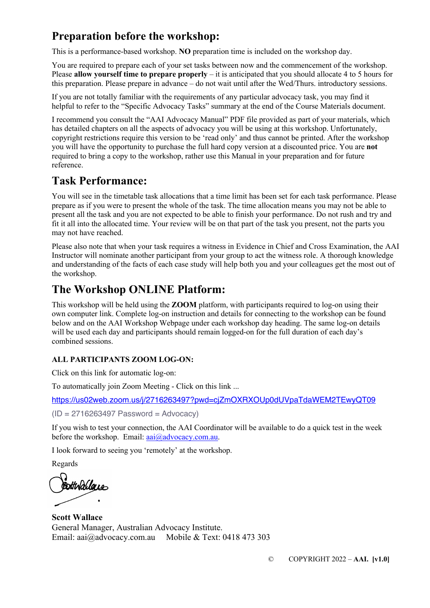# **Preparation before the workshop:**

This is a performance-based workshop. **NO** preparation time is included on the workshop day.

You are required to prepare each of your set tasks between now and the commencement of the workshop. Please **allow yourself time to prepare properly** – it is anticipated that you should allocate 4 to 5 hours for this preparation. Please prepare in advance – do not wait until after the Wed/Thurs. introductory sessions.

If you are not totally familiar with the requirements of any particular advocacy task, you may find it helpful to refer to the "Specific Advocacy Tasks" summary at the end of the Course Materials document.

I recommend you consult the "AAI Advocacy Manual" PDF file provided as part of your materials, which has detailed chapters on all the aspects of advocacy you will be using at this workshop. Unfortunately, copyright restrictions require this version to be 'read only' and thus cannot be printed. After the workshop you will have the opportunity to purchase the full hard copy version at a discounted price. You are **not** required to bring a copy to the workshop, rather use this Manual in your preparation and for future reference.

## **Task Performance:**

You will see in the timetable task allocations that a time limit has been set for each task performance. Please prepare as if you were to present the whole of the task. The time allocation means you may not be able to present all the task and you are not expected to be able to finish your performance. Do not rush and try and fit it all into the allocated time. Your review will be on that part of the task you present, not the parts you may not have reached.

Please also note that when your task requires a witness in Evidence in Chief and Cross Examination, the AAI Instructor will nominate another participant from your group to act the witness role. A thorough knowledge and understanding of the facts of each case study will help both you and your colleagues get the most out of the workshop.

# **The Workshop ONLINE Platform:**

This workshop will be held using the **ZOOM** platform, with participants required to log-on using their own computer link. Complete log-on instruction and details for connecting to the workshop can be found below and on the AAI Workshop Webpage under each workshop day heading. The same log-on details will be used each day and participants should remain logged-on for the full duration of each day's combined sessions.

### **ALL PARTICIPANTS ZOOM LOG-ON:**

Click on this link for automatic log-on:

To automatically join Zoom Meeting - Click on this link ...

https://us02web.zoom.us/j/2716263497?pwd=cjZmOXRXOUp0dUVpaTdaWEM2TEwyQT09

 $(ID = 2716263497$  Password = Advocacy)

If you wish to test your connection, the AAI Coordinator will be available to do a quick test in the week before the workshop. Email: aai@advocacy.com.au.

I look forward to seeing you 'remotely' at the workshop.

Regards

Botthallaces

**Scott Wallace** General Manager, Australian Advocacy Institute. Email: aai@advocacy.com.au Mobile & Text: 0418 473 303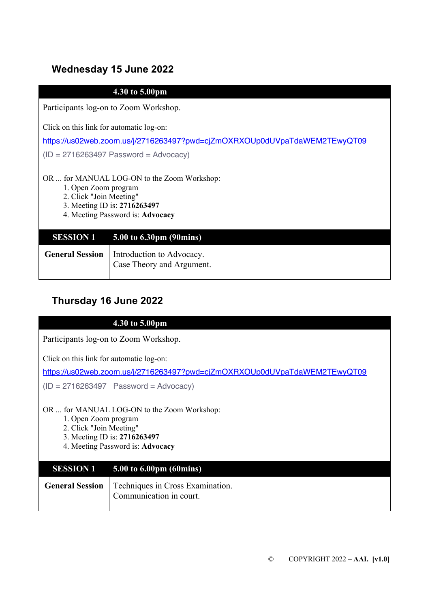### **Wednesday 15 June 2022**

### **4.30 to 5.00pm**

Participants log-on to Zoom Workshop.

Click on this link for automatic log-on:

https://us02web.zoom.us/j/2716263497?pwd=cjZmOXRXOUp0dUVpaTdaWEM2TEwyQT09

 $(ID = 2716263497$  Password = Advocacy)

#### OR ... for MANUAL LOG-ON to the Zoom Workshop:

- 1. Open Zoom program
- 2. Click "Join Meeting"
- 3. Meeting ID is: **2716263497**
- 4. Meeting Password is: **Advocacy**

| <b>SESSION 1</b> 5.00 to 6.30pm $(90 \text{ mins})$                             |
|---------------------------------------------------------------------------------|
| <b>General Session</b>   Introduction to Advocacy.<br>Case Theory and Argument. |

## **Thursday 16 June 2022**

### **4.30 to 5.00pm**

Participants log-on to Zoom Workshop.

Click on this link for automatic log-on:

https://us02web.zoom.us/j/2716263497?pwd=cjZmOXRXOUp0dUVpaTdaWEM2TEwyQT09

 $(ID = 2716263497$  Password = Advocacy)

OR ... for MANUAL LOG-ON to the Zoom Workshop:

1. Open Zoom program

- 2. Click "Join Meeting"
- 3. Meeting ID is: **2716263497**
- 4. Meeting Password is: **Advocacy**

| <b>SESSION 1</b> 5.00 to 6.00pm (60mins)                                             |
|--------------------------------------------------------------------------------------|
| <b>General Session</b>   Techniques in Cross Examination.<br>Communication in court. |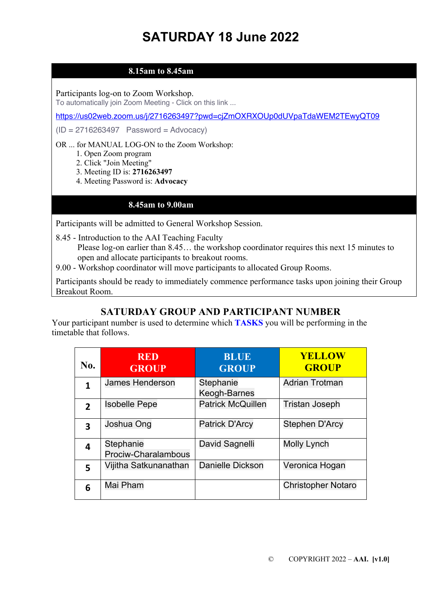# **SATURDAY 18 June 2022**

### **8.15am to 8.45am**

Participants log-on to Zoom Workshop.

To automatically join Zoom Meeting - Click on this link ...

https://us02web.zoom.us/j/2716263497?pwd=cjZmOXRXOUp0dUVpaTdaWEM2TEwyQT09

 $(ID = 2716263497$  Password = Advocacy)

#### OR ... for MANUAL LOG-ON to the Zoom Workshop:

- 1. Open Zoom program
- 2. Click "Join Meeting"
- 3. Meeting ID is: **2716263497**
- 4. Meeting Password is: **Advocacy**

### **8.45am to 9.00am**

Participants will be admitted to General Workshop Session.

8.45 - Introduction to the AAI Teaching Faculty

 Please log-on earlier than 8.45… the workshop coordinator requires this next 15 minutes to open and allocate participants to breakout rooms.

9.00 - Workshop coordinator will move participants to allocated Group Rooms.

Participants should be ready to immediately commence performance tasks upon joining their Group Breakout Room.

### **SATURDAY GROUP AND PARTICIPANT NUMBER**

Your participant number is used to determine which **TASKS** you will be performing in the timetable that follows.

| No.                     | <b>RED</b><br><b>GROUP</b>       | <b>BLUE</b><br><b>GROUP</b> | <b>YELLOW</b><br><b>GROUP</b> |
|-------------------------|----------------------------------|-----------------------------|-------------------------------|
| 1                       | <b>James Henderson</b>           | Stephanie<br>Keogh-Barnes   | <b>Adrian Trotman</b>         |
| $\overline{2}$          | <b>Isobelle Pepe</b>             | <b>Patrick McQuillen</b>    | <b>Tristan Joseph</b>         |
| $\overline{\mathbf{3}}$ | Joshua Ong                       | <b>Patrick D'Arcy</b>       | Stephen D'Arcy                |
| 4                       | Stephanie<br>Prociw-Charalambous | David Sagnelli              | <b>Molly Lynch</b>            |
| 5                       | Vijitha Satkunanathan            | Danielle Dickson            | Veronica Hogan                |
| 6                       | Mai Pham                         |                             | <b>Christopher Notaro</b>     |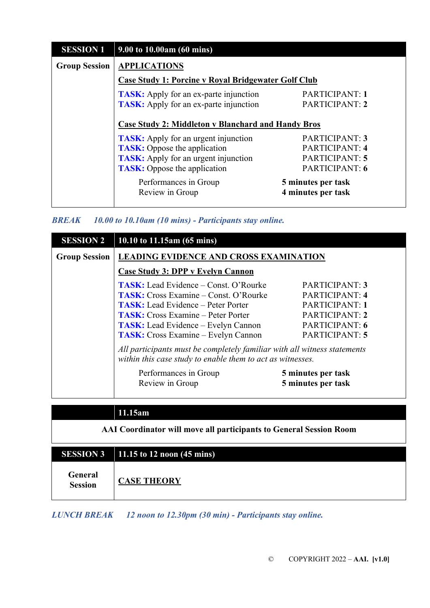| <b>SESSION 1</b>     | $9.00 \text{ to } 10.00 \text{ am}$ (60 mins)              |                                          |
|----------------------|------------------------------------------------------------|------------------------------------------|
| <b>Group Session</b> | <b>APPLICATIONS</b>                                        |                                          |
|                      | <b>Case Study 1: Porcine v Royal Bridgewater Golf Club</b> |                                          |
|                      | <b>TASK:</b> Apply for an ex-parte injunction              | PARTICIPANT: 1                           |
|                      | <b>TASK:</b> Apply for an ex-parte injunction              | PARTICIPANT: 2                           |
|                      | <b>Case Study 2: Middleton v Blanchard and Handy Bros</b>  |                                          |
|                      | <b>TASK:</b> Apply for an urgent injunction                | PARTICIPANT: 3                           |
|                      | <b>TASK:</b> Oppose the application                        | <b>PARTICIPANT: 4</b>                    |
|                      | <b>TASK:</b> Apply for an urgent injunction                | PARTICIPANT: 5                           |
|                      | <b>TASK:</b> Oppose the application                        | PARTICIPANT: 6                           |
|                      | Performances in Group<br>Review in Group                   | 5 minutes per task<br>4 minutes per task |

| <b>BREAK</b> |  |  | 10.00 to 10.10am (10 mins) - Participants stay online. |  |
|--------------|--|--|--------------------------------------------------------|--|
|              |  |  |                                                        |  |

| <b>SESSION 2</b>     | 10.10 to 11.15am (65 mins)                                                                                                             |                       |  |
|----------------------|----------------------------------------------------------------------------------------------------------------------------------------|-----------------------|--|
| <b>Group Session</b> | <b>LEADING EVIDENCE AND CROSS EXAMINATION</b>                                                                                          |                       |  |
|                      | Case Study 3: DPP v Evelyn Cannon                                                                                                      |                       |  |
|                      | <b>TASK:</b> Lead Evidence – Const. O'Rourke                                                                                           | PARTICIPANT: 3        |  |
|                      | <b>TASK:</b> Cross Examine – Const. O'Rourke                                                                                           | <b>PARTICIPANT: 4</b> |  |
|                      | <b>TASK:</b> Lead Evidence – Peter Porter                                                                                              | <b>PARTICIPANT: 1</b> |  |
|                      | <b>TASK:</b> Cross Examine – Peter Porter                                                                                              | PARTICIPANT: 2        |  |
|                      | <b>TASK:</b> Lead Evidence – Evelyn Cannon                                                                                             | PARTICIPANT: 6        |  |
|                      | <b>TASK:</b> Cross Examine – Evelyn Cannon                                                                                             | PARTICIPANT: 5        |  |
|                      | All participants must be completely familiar with all witness statements<br>within this case study to enable them to act as witnesses. |                       |  |
|                      | Performances in Group                                                                                                                  | 5 minutes per task    |  |
|                      | Review in Group                                                                                                                        | 5 minutes per task    |  |

| яm |  |  |  |
|----|--|--|--|
|    |  |  |  |

|                           | SESSION 3 $11.15 \overline{\text{to} 12}$ noon (45 mins) |
|---------------------------|----------------------------------------------------------|
| General<br><b>Session</b> | <b>CASE THEORY</b>                                       |

*LUNCH BREAK 12 noon to 12.30pm (30 min) - Participants stay online.*